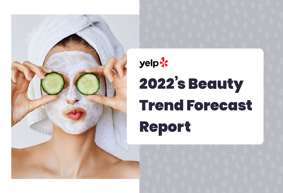

# yelp 2022's Beauty Trend Forecast Report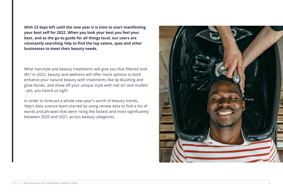**With 23 days left until the new year it is time to start manifesting your best self for 2022. When you look your best you feel your best, and as the go-to guide for all things local, our users are constantly searching Yelp to find the top salons, spas and other businesses to meet their beauty needs.**

What hairstyle and beauty treatments will give you that filtered look IRL? In 2022, beauty and wellness will offer more options to both enhance your natural beauty with treatments like lip blushing and glow facials, and show off your unique style with nail art and mullets - yes, you heard us right.

In order to forecast a whole new year's worth of beauty trends, Yelp's data science team started by using review data to find a list of words and phrases that were rising the fastest and most significantly between 2020 and 2021, across beauty categories.

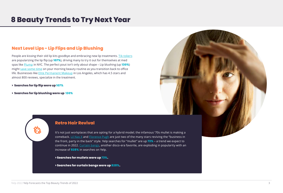### **Next Level Lips - Lip Flips and Lip Blushing**

People are kissing their old lip kits goodbye and embracing new lip treatment[s. Tik-tokers](https://www.glossy.co/beauty/tiktoks-cosmetic-aesthetic-obsession-the-lip-flip/) are popularizing the lip flip (up **107%**), driving many to try it out for themselves at med spa[s like Plump in N](https://www.plumplife.com/)YC. The perfect pout isn't only about shape – Lip blushing (up **130%**) migh[t save some time](https://www.shape.com/lifestyle/beauty-style/what-is-lip-blushing) on your morning beauty routine as you transition back to office life. Businesses lik[e Elite Permanent Makeup](https://www.yelp.com/biz/elite-permanent-makeup-los-angeles-3?uid=qa_z2IbZ1jXw9OQhnoPDkw&utm_campaign=www_business_share_popup&utm_medium=copy_link&utm_source=(direct)) in Los Angeles, which has 4.5 stars and almost 800 reviews, specialize in the treatment.

- **> Searches for lip flip were up 107%**
- **> Searches for lip blushing were up 130%**

#### **Retro Hair Revival**

It's not just workplaces that are opting for a hybrid model; the infamous '70s mullet is making a comeback. Lil Nas  $X$  an[d Florence Pugh ar](https://www.popsugar.com/beauty/florence-pugh-pixie-mullet-haircut-48581179)e just two of the many stars reviving the "business in the front, party in the back" style. Yelp searches for "mullet" are up **73%** – a trend we expect to continue in 202[2. Curtain bangs](https://www.cosmopolitan.com/uk/beauty-hair/celebrity-hair-makeup/a38158026/jodie-comer-curtain-bangs/), another disco-era favorite, are exploding in popularity with an increase of **828%** in searches on Yelp.

**> Searches for mullets were up 73%.**

**> Searches for curtain bangs were up 828%.**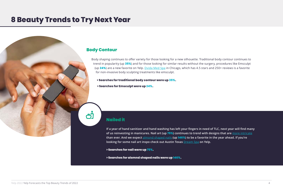#### **Body Contour**

Body shaping continues to offer variety for those looking for a new silhouette. Traditional body contour continues to trend in popularity (up **35%**) and for those looking for similar results without the surgery, procedures like Emsculpt (up **24%**) are a new favorite on Yel[p. Dvida Med Spa](https://www.yelp.com/biz/dvida-med-spa-chicago-3?hrid=XizHgqajhIcUv-A-dLBKHQ) in Chicago, which has 4.5 stars and 250+ reviews is a favorite for non-invasive body sculpting treatments like emsculpt.

**> Searches for traditional body contour were up 35%.**

**> Searches for Emsculpt were up 24%.**

#### **Nailed it**

**If a year of hand sanitizer and hand washing has left your fingers in need of TLC, next year will find many of us reinvesting in manicures. Nail art (up 75%) continues to trend with designs that are** [more intricate](https://www.harpersbazaar.com/beauty/nails/g35017923/2021-nail-trends/) **than ever. And we expect** [almond shaped nails](https://www.glamour.com/gallery/almond-shaped-nail-ideas) **(up 146%) to be a favorite in the year ahead. If you're looking for some nail art inspo check out Austin Texas** [Dream Spa](https://www.yelp.com/biz/dream-spa-austin-2?hrid=nlqJSQw6nA-mfdbFAoPiKw) **on Yelp.** 

**> Searches for nail were up 75%.**

**> Searches for alomnd shaped nails were up 146%.**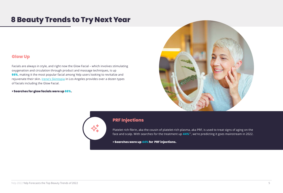#### **Glow Up**

Facials are always in style, and right now the Glow Facial – which involves stimulating oxygenation and circulation through product and massage techniques, is up **66%**, making it the most popular facial among Yelp users looking to revitalize and rejuvenate their skin. *Irene's Skintopia* in Los Angeles provides over a dozen types of facials including the Glow Facial.

#### **> Searches for glow facials were up 66%.**



#### **PRF Injections**

Platelet rich fibrin, aka the cousin of platelet-rich plasma, aka PRF, is used to treat signs of aging on the face and scalp. With searches for the treatment up **44%**\*\*, we're predicting it goes mainstream in 2022.

**> Searches were up 44% for PRF injections.**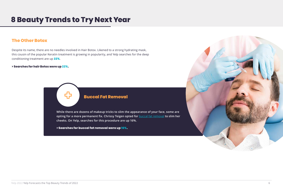#### **The Other Botox**

Despite its name, there are no needles involved in Hair Botox. Likened to a strong hydrating mask, this cousin of the popular Keratin treatment is growing in popularity, and Yelp searches for the deep conditioning treatment are up **22%**.

**> Searches for hair Botox were up 22%.**



**While there are dozens of makeup tricks to slim the appearance of your face, some are opting for a more permanent fix. Chrissy Teigen opted for** [buccal fat removal](https://people.com/health/chrissy-teigen-buccal-fat-removal-plastic-surgeon-breaks-down-the-procedure/) **to slim her cheeks. On Yelp, searches for this procedure are up 16%.**

**> Searches for buccal fat removal were up 16%.**

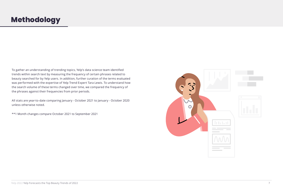## **Methodology**

To gather an understanding of trending topics, Yelp's data science team identified trends within search text by measuring the frequency of certain phrases related to beauty searched for by Yelp users. In addition, further curation of the terms evaluated was performed with the expertise of Yelp Trend Expert Tara Lewis. To understand how the search volume of these terms changed over time, we compared the frequency of the phrases against their frequencies from prior periods.

All stats are year-to-date comparing January - October 2021 to January - October 2020 unless otherwise noted.

\*\*1 Month changes compare October 2021 to September 2021